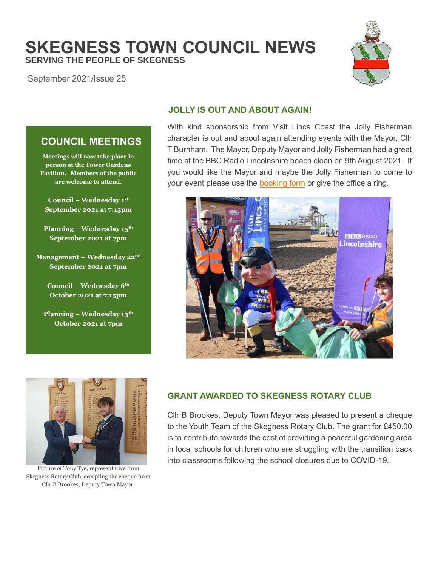# **SKEGNESS TOWN COUNCIL NEWS SERVING THE PEOPLE OF SKEGNESS**

September 2021/Issue 25



## **JOLLY IS OUT AND ABOUT AGAIN!**

With kind sponsorship from Visit Lincs Coast the Jolly Fisherman character is out and about again attending events with the Mayor, Cllr T Burnham. The Mayor, Deputy Mayor and Jolly Fisherman had a great time at the BBC Radio Lincolnshire beach clean on 9th August 2021. If you would like the Mayor and maybe the Jolly Fisherman to come to your event please use the **booking form** or give the office a ring.



## **COUNCIL MEETINGS**

**Meetings will now take place in person at the Tower Gardens Pavilion. Members of the public are welcome to attend.**

**Council – Wednesday 1 st September 2021 at 7:15pm**

**Planning – Wednesday 15th September 2021 at 7pm**

**Management – Wednesday 22nd September 2021 at 7pm**

> **Council – Wednesday 6th October 2021 at 7:15pm**

**Planning – Wednesday 13th October 2021 at 7pm**



Picture of Tony Tye, representative from Skegness Rotary Club, accepting the cheque from Cllr B Brookes, Deputy Town Mayor.

## **GRANT AWARDED TO SKEGNESS ROTARY CLUB**

Cllr B Brookes, Deputy Town Mayor was pleased to present a cheque to the Youth Team of the Skegness Rotary Club. The grant for £450.00 is to contribute towards the cost of providing a peaceful gardening area in local schools for children who are struggling with the transition back into classrooms following the school closures due to COVID-19.